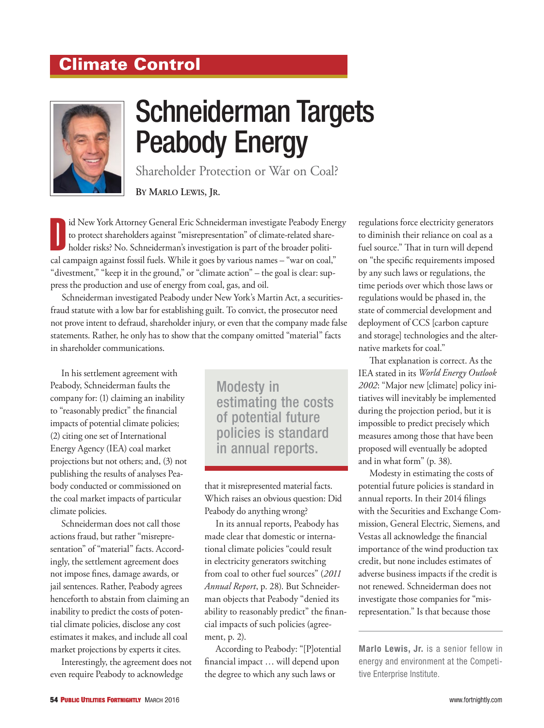## Climate Control



## Schneiderman Targets Peabody Energy

Shareholder Protection or War on Coal?

**By Marlo Lewis, Jr.**

Id New York Attorney General Eric Schneiderman investigate Peabody Energy to protect shareholders against "misrepresentation" of climate-related shareholder risks? No. Schneiderman's investigation is part of the broader po id New York Attorney General Eric Schneiderman investigate Peabody Energy to protect shareholders against "misrepresentation" of climate-related shareholder risks? No. Schneiderman's investigation is part of the broader politi-"divestment," "keep it in the ground," or "climate action" – the goal is clear: suppress the production and use of energy from coal, gas, and oil.

Schneiderman investigated Peabody under New York's Martin Act, a securitiesfraud statute with a low bar for establishing guilt. To convict, the prosecutor need not prove intent to defraud, shareholder injury, or even that the company made false statements. Rather, he only has to show that the company omitted "material" facts in shareholder communications.

In his settlement agreement with Peabody, Schneiderman faults the company for: (1) claiming an inability to "reasonably predict" the financial impacts of potential climate policies; (2) citing one set of International Energy Agency (IEA) coal market projections but not others; and, (3) not publishing the results of analyses Peabody conducted or commissioned on the coal market impacts of particular climate policies.

Schneiderman does not call those actions fraud, but rather "misrepresentation" of "material" facts. Accordingly, the settlement agreement does not impose fines, damage awards, or jail sentences. Rather, Peabody agrees henceforth to abstain from claiming an inability to predict the costs of potential climate policies, disclose any cost estimates it makes, and include all coal market projections by experts it cites.

Interestingly, the agreement does not even require Peabody to acknowledge

Modesty in estimating the costs of potential future policies is standard in annual reports.

that it misrepresented material facts. Which raises an obvious question: Did Peabody do anything wrong?

In its annual reports, Peabody has made clear that domestic or international climate policies "could result in electricity generators switching from coal to other fuel sources" (*2011 Annual Report*, p. 28). But Schneiderman objects that Peabody "denied its ability to reasonably predict" the financial impacts of such policies (agreement, p. 2).

According to Peabody: "[P]otential financial impact … will depend upon the degree to which any such laws or

regulations force electricity generators to diminish their reliance on coal as a fuel source." That in turn will depend on "the specific requirements imposed by any such laws or regulations, the time periods over which those laws or regulations would be phased in, the state of commercial development and deployment of CCS [carbon capture and storage] technologies and the alternative markets for coal."

That explanation is correct. As the IEA stated in its *World Energy Outlook 2002*: "Major new [climate] policy initiatives will inevitably be implemented during the projection period, but it is impossible to predict precisely which measures among those that have been proposed will eventually be adopted and in what form" (p. 38).

Modesty in estimating the costs of potential future policies is standard in annual reports. In their 2014 filings with the Securities and Exchange Commission, General Electric, Siemens, and Vestas all acknowledge the financial importance of the wind production tax credit, but none includes estimates of adverse business impacts if the credit is not renewed. Schneiderman does not investigate those companies for "misrepresentation." Is that because those

**Marlo Lewis, Jr.** is a senior fellow in energy and environment at the Competitive Enterprise Institute.